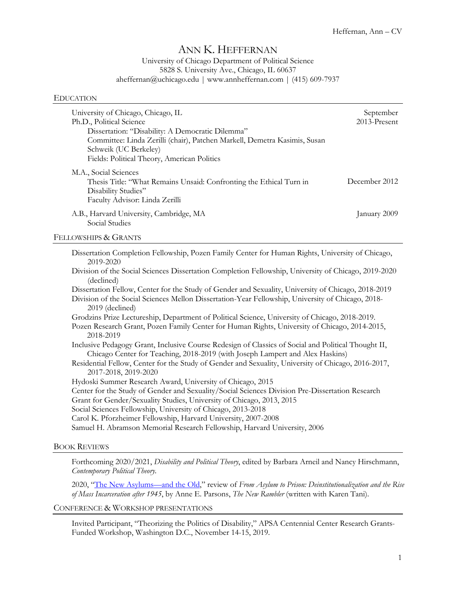# ANN K. HEFFERNAN

# University of Chicago Department of Political Science 5828 S. University Ave., Chicago, IL 60637 aheffernan@uchicago.edu | www.annheffernan.com | (415) 609-7937

#### EDUCATION

| University of Chicago, Chicago, IL<br>Ph.D., Political Science<br>Dissertation: "Disability: A Democratic Dilemma"<br>Committee: Linda Zerilli (chair), Patchen Markell, Demetra Kasimis, Susan<br>Schweik (UC Berkeley)<br>Fields: Political Theory, American Politics | September<br>2013-Present |
|-------------------------------------------------------------------------------------------------------------------------------------------------------------------------------------------------------------------------------------------------------------------------|---------------------------|
| M.A., Social Sciences<br>Thesis Title: "What Remains Unsaid: Confronting the Ethical Turn in<br>Disability Studies"<br>Faculty Advisor: Linda Zerilli                                                                                                                   | December 2012             |
| A.B., Harvard University, Cambridge, MA<br>Social Studies                                                                                                                                                                                                               | January 2009              |

#### FELLOWSHIPS & GRANTS

| Dissertation Completion Fellowship, Pozen Family Center for Human Rights, University of Chicago, |  |  |  |
|--------------------------------------------------------------------------------------------------|--|--|--|
| 2019-2020                                                                                        |  |  |  |

Division of the Social Sciences Dissertation Completion Fellowship, University of Chicago, 2019-2020 (declined)

Dissertation Fellow, Center for the Study of Gender and Sexuality, University of Chicago, 2018-2019 Division of the Social Sciences Mellon Dissertation-Year Fellowship, University of Chicago, 2018- 2019 (declined)

Grodzins Prize Lectureship, Department of Political Science, University of Chicago, 2018-2019. Pozen Research Grant, Pozen Family Center for Human Rights, University of Chicago, 2014-2015,

2018-2019

- Inclusive Pedagogy Grant, Inclusive Course Redesign of Classics of Social and Political Thought II, Chicago Center for Teaching, 2018-2019 (with Joseph Lampert and Alex Haskins)
- Residential Fellow, Center for the Study of Gender and Sexuality, University of Chicago, 2016-2017, 2017-2018, 2019-2020

Hydoski Summer Research Award, University of Chicago, 2015

Center for the Study of Gender and Sexuality/Social Sciences Division Pre-Dissertation Research

Grant for Gender/Sexuality Studies, University of Chicago, 2013, 2015

Social Sciences Fellowship, University of Chicago, 2013-2018

Carol K. Pforzheimer Fellowship, Harvard University, 2007-2008

Samuel H. Abramson Memorial Research Fellowship, Harvard University, 2006

# BOOK REVIEWS

Forthcoming 2020/2021, *Disability and Political Theory*, edited by Barbara Arneil and Nancy Hirschmann, *Contemporary Political Theory.*

2020, "The New Asylums—and the Old," review of *From Asylum to Prison: Deinstitutionalization and the Rise of Mass Incarceration after 1945*, by Anne E. Parsons, *The New Rambler* (written with Karen Tani).

CONFERENCE & WORKSHOP PRESENTATIONS

Invited Participant, "Theorizing the Politics of Disability," APSA Centennial Center Research Grants-Funded Workshop, Washington D.C., November 14-15, 2019.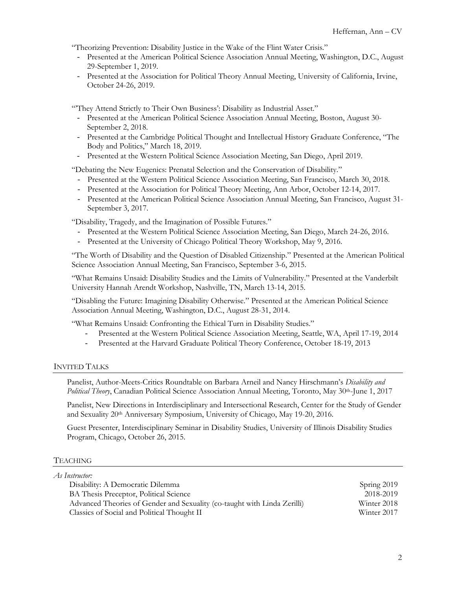"Theorizing Prevention: Disability Justice in the Wake of the Flint Water Crisis."

- Presented at the American Political Science Association Annual Meeting, Washington, D.C., August 29-September 1, 2019.
- Presented at the Association for Political Theory Annual Meeting, University of California, Irvine, October 24-26, 2019.

"They Attend Strictly to Their Own Business': Disability as Industrial Asset."

- Presented at the American Political Science Association Annual Meeting, Boston, August 30- September 2, 2018.
- Presented at the Cambridge Political Thought and Intellectual History Graduate Conference, "The Body and Politics," March 18, 2019.
- Presented at the Western Political Science Association Meeting, San Diego, April 2019.

"Debating the New Eugenics: Prenatal Selection and the Conservation of Disability."

- Presented at the Western Political Science Association Meeting, San Francisco, March 30, 2018.
- Presented at the Association for Political Theory Meeting, Ann Arbor, October 12-14, 2017.
- Presented at the American Political Science Association Annual Meeting, San Francisco, August 31- September 3, 2017.

"Disability, Tragedy, and the Imagination of Possible Futures."

- Presented at the Western Political Science Association Meeting, San Diego, March 24-26, 2016.
- Presented at the University of Chicago Political Theory Workshop, May 9, 2016.

"The Worth of Disability and the Question of Disabled Citizenship." Presented at the American Political Science Association Annual Meeting, San Francisco, September 3-6, 2015.

"What Remains Unsaid: Disability Studies and the Limits of Vulnerability." Presented at the Vanderbilt University Hannah Arendt Workshop, Nashville, TN, March 13-14, 2015.

"Disabling the Future: Imagining Disability Otherwise." Presented at the American Political Science Association Annual Meeting, Washington, D.C., August 28-31, 2014.

"What Remains Unsaid: Confronting the Ethical Turn in Disability Studies."

- Presented at the Western Political Science Association Meeting, Seattle, WA, April 17-19, 2014
- Presented at the Harvard Graduate Political Theory Conference, October 18-19, 2013

# INVITED TALKS

Panelist, Author-Meets-Critics Roundtable on Barbara Arneil and Nancy Hirschmann's *Disability and Political Theory*, Canadian Political Science Association Annual Meeting, Toronto, May 30th-June 1, 2017

Panelist, New Directions in Interdisciplinary and Intersectional Research, Center for the Study of Gender and Sexuality 20th Anniversary Symposium, University of Chicago, May 19-20, 2016.

Guest Presenter, Interdisciplinary Seminar in Disability Studies, University of Illinois Disability Studies Program, Chicago, October 26, 2015.

# **TEACHING**

| As Instructor:                                                           |             |
|--------------------------------------------------------------------------|-------------|
| Disability: A Democratic Dilemma                                         | Spring 2019 |
| BA Thesis Preceptor, Political Science                                   | 2018-2019   |
| Advanced Theories of Gender and Sexuality (co-taught with Linda Zerilli) | Winter 2018 |
| Classics of Social and Political Thought II                              | Winter 2017 |